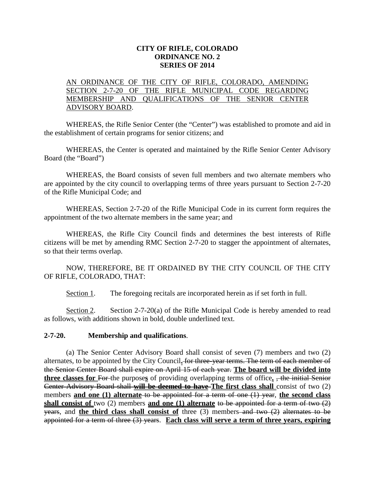## **CITY OF RIFLE, COLORADO ORDINANCE NO. 2 SERIES OF 2014**

## AN ORDINANCE OF THE CITY OF RIFLE, COLORADO, AMENDING SECTION 2-7-20 OF THE RIFLE MUNICIPAL CODE REGARDING MEMBERSHIP AND QUALIFICATIONS OF THE SENIOR CENTER ADVISORY BOARD.

WHEREAS, the Rifle Senior Center (the "Center") was established to promote and aid in the establishment of certain programs for senior citizens; and

WHEREAS, the Center is operated and maintained by the Rifle Senior Center Advisory Board (the "Board")

WHEREAS, the Board consists of seven full members and two alternate members who are appointed by the city council to overlapping terms of three years pursuant to Section 2-7-20 of the Rifle Municipal Code; and

WHEREAS, Section 2-7-20 of the Rifle Municipal Code in its current form requires the appointment of the two alternate members in the same year; and

WHEREAS, the Rifle City Council finds and determines the best interests of Rifle citizens will be met by amending RMC Section 2-7-20 to stagger the appointment of alternates, so that their terms overlap.

NOW, THEREFORE, BE IT ORDAINED BY THE CITY COUNCIL OF THE CITY OF RIFLE, COLORADO, THAT:

Section 1. The foregoing recitals are incorporated herein as if set forth in full.

Section 2. Section 2-7-20(a) of the Rifle Municipal Code is hereby amended to read as follows, with additions shown in bold, double underlined text.

## **2-7-20. Membership and qualifications**.

(a) The Senior Center Advisory Board shall consist of seven (7) members and two (2) alternates, to be appointed by the City Council**.** for three-year terms. The term of each member of the Senior Center Board shall expire on April 15 of each year. **The board will be divided into three classes for** For the purpose**s** of providing overlapping terms of office**.** , the initial Senior Center Advisory Board shall **will be deemed to have The first class shall** consist of two (2) members **and one (1) alternate** to be appointed for a term of one (1) year, **the second class shall consist of** two (2) members **and one (1) alternate** to be appointed for a term of two (2) years, and **the third class shall consist of** three (3) members and two (2) alternates to be appointed for a term of three (3) years. **Each class will serve a term of three years, expiring**